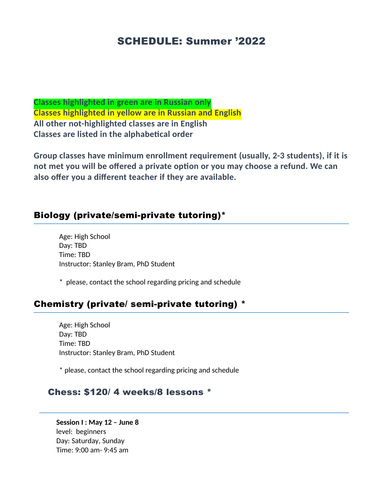# SCHEDULE: Summer '2022

**Classes highlighted in green are in Russian only Classes highlighted in yellow are in Russian and English All other not-highlighted classes are in English Classes are listed in the alphabetical order**

**Group classes have minimum enrollment requirement (usually, 2-3 students), if it is not met you will be offered a private option or you may choose a refund. We can also offer you a different teacher if they are available.** 

## Biology (private/semi-private tutoring)\*

Age: High School Day: TBD Time: TBD Instructor: Stanley Bram, PhD Student

\* please, contact the school regarding pricing and schedule

#### Chemistry (private/ semi-private tutoring) \*

Age: High School Day: TBD Time: TBD Instructor: Stanley Bram, PhD Student

\* please, contact the school regarding pricing and schedule

## Chess: \$120/ 4 weeks/8 lessons \*

**Session I : May 12 – June 8** level: beginners Day: Saturday, Sunday Time: 9:00 am- 9:45 am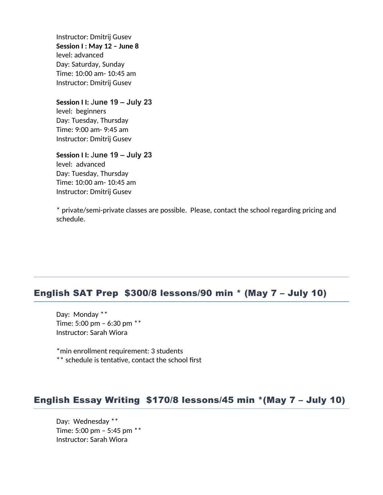Instructor: Dmitrij Gusev **Session I : May 12 – June 8** level: advanced Day: Saturday, Sunday Time: 10:00 am- 10:45 am Instructor: Dmitrij Gusev

**Session I I:** J**une 19 – July 23** level: beginners Day: Tuesday, Thursday

Time: 9:00 am- 9:45 am Instructor: Dmitrij Gusev

**Session I I:** J**une 19 – July 23** level: advanced Day: Tuesday, Thursday Time: 10:00 am- 10:45 am Instructor: Dmitrij Gusev

\* private/semi-private classes are possible. Please, contact the school regarding pricing and schedule.

## English SAT Prep \$300/8 lessons/90 min \* (May 7 – July 10)

Day: Monday \*\* Time: 5:00 pm – 6:30 pm \*\* Instructor: Sarah Wiora

\*min enrollment requirement: 3 students \*\* schedule is tentative, contact the school first

# English Essay Writing \$170/8 lessons/45 min \*(May 7 – July 10)

Day: Wednesday \*\* Time: 5:00 pm – 5:45 pm \*\* Instructor: Sarah Wiora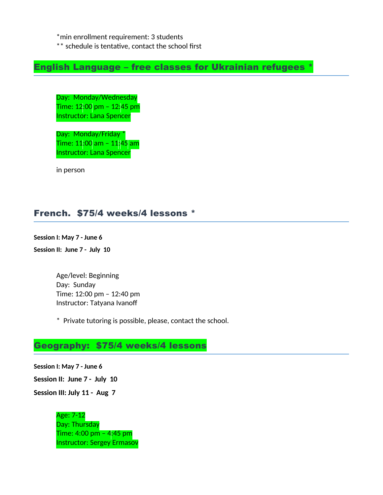\*min enrollment requirement: 3 students

\*\* schedule is tentative, contact the school first

English Language – free classes for Ukrainian refugees \*

Day: Monday/Wednesday Time: 12:00 pm – 12:45 pm Instructor: Lana Spencer

Day: Monday/Friday \* Time: 11:00 am – 11:45 am Instructor: Lana Spencer

in person

#### French. \$75/4 weeks/4 lessons \*

**Session I: May 7 - June 6**

**Session II: June 7 - July 10**

Age/level: Beginning Day: Sunday Time: 12:00 pm – 12:40 pm Instructor: Tatyana Ivanoff

\* Private tutoring is possible, please, contact the school.

#### Geography: \$75/4 weeks/4 lessons

**Session I: May 7 - June 6 Session II: June 7 - July 10 Session III: July 11 - Aug 7**

> Age: 7-12 Day: Thursday Time: 4:00 pm – 4:45 pm Instructor: Sergey Ermasov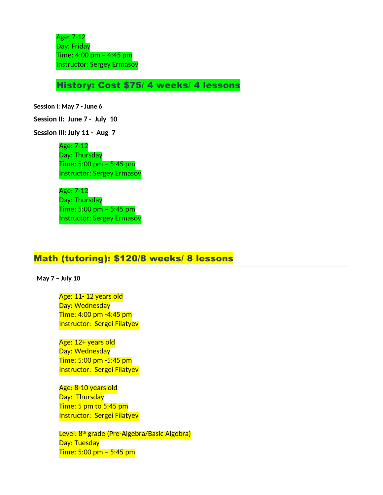Age: 7-12 Day: Friday Time: 4:00 pm – 4:45 pm Instructor: Sergey Ermasov

History: Cost \$75/ 4 weeks/ 4 lessons

**Session I: May 7 - June 6**

**Session II: June 7 - July 10**

**Session III: July 11 - Aug 7**

Age: 7-12 Day: Thursday Time: 5:00 pm – 5:45 pm Instructor: Sergey Ermasov

Age: 7-12 Day: Thursday Time: 5:00 pm – 5:45 pm Instructor: Sergey Ermasov

#### Math (tutoring): \$120/8 weeks/ 8 lessons

**May 7 – July 10**

Age: 11- 12 years old Day: Wednesday Time: 4:00 pm -4:45 pm Instructor: Sergei Filatyev

Age: 12+ years old Day: Wednesday Time: 5:00 pm -5:45 pm Instructor: Sergei Filatyev

Age: 8-10 years old Day: Thursday Time: 5 pm to 5:45 pm Instructor: Sergei Filatyev

Level: 8<sup>th</sup> grade (Pre-Algebra/Basic Algebra) Day: Tuesday Time: 5:00 pm – 5:45 pm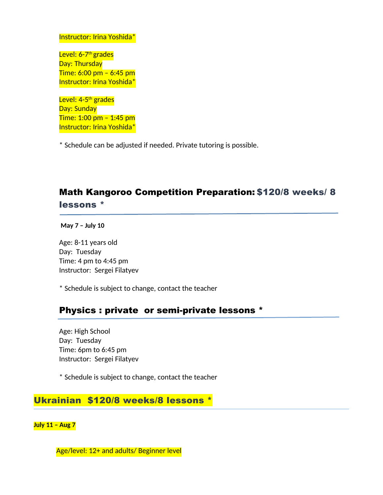#### Instructor: Irina Yoshida\*

Level: 6-7<sup>th</sup> grades Day: Thursday Time: 6:00 pm – 6:45 pm Instructor: Irina Yoshida\*

Level: 4-5<sup>th</sup> grades Day: Sunday Time: 1:00 pm – 1:45 pm Instructor: Irina Yoshida\*

\* Schedule can be adjusted if needed. Private tutoring is possible.

# Math Kangoroo Competition Preparation: \$120/8 weeks/ 8 lessons \*

**May 7 – July 10**

Age: 8-11 years old Day: Tuesday Time: 4 pm to 4:45 pm Instructor: Sergei Filatyev

\* Schedule is subject to change, contact the teacher

#### Physics : private or semi-private lessons \*

Age: High School Day: Tuesday Time: 6pm to 6:45 pm Instructor: Sergei Filatyev

\* Schedule is subject to change, contact the teacher

## Ukrainian \$120/8 weeks/8 lessons \*

**July 11 – Aug 7**

Age/level: 12+ and adults/ Beginner level